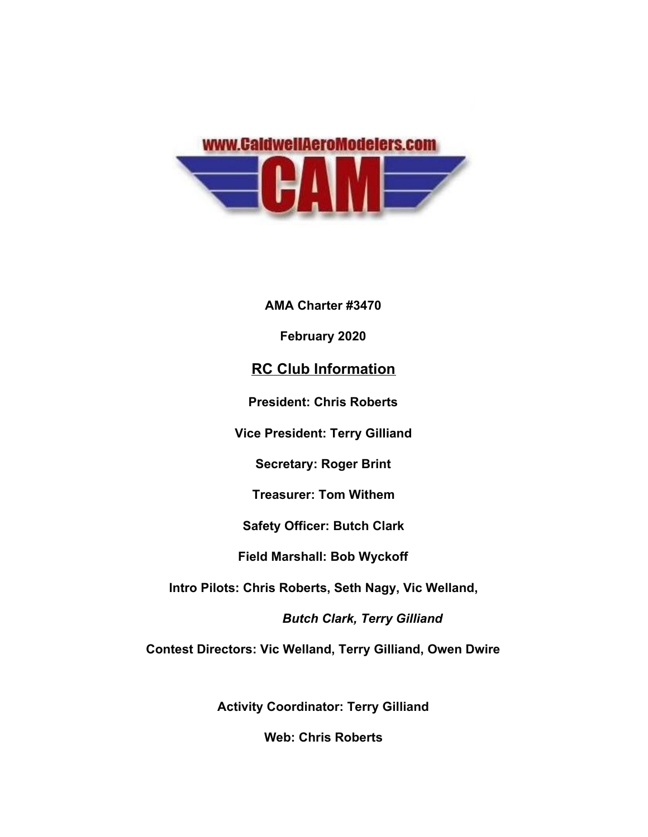

**AMA Charter #3470**

**February 2020**

## **RC Club Information**

**President: Chris Roberts**

**Vice President: Terry Gilliand**

**Secretary: Roger Brint**

**Treasurer: Tom Withem**

**Safety Officer: Butch Clark**

**Field Marshall: Bob Wyckoff**

**Intro Pilots: Chris Roberts, Seth Nagy, Vic Welland,**

 *Butch Clark, Terry Gilliand*

**Contest Directors: Vic Welland, Terry Gilliand, Owen Dwire**

**Activity Coordinator: Terry Gilliand**

**Web: Chris Roberts**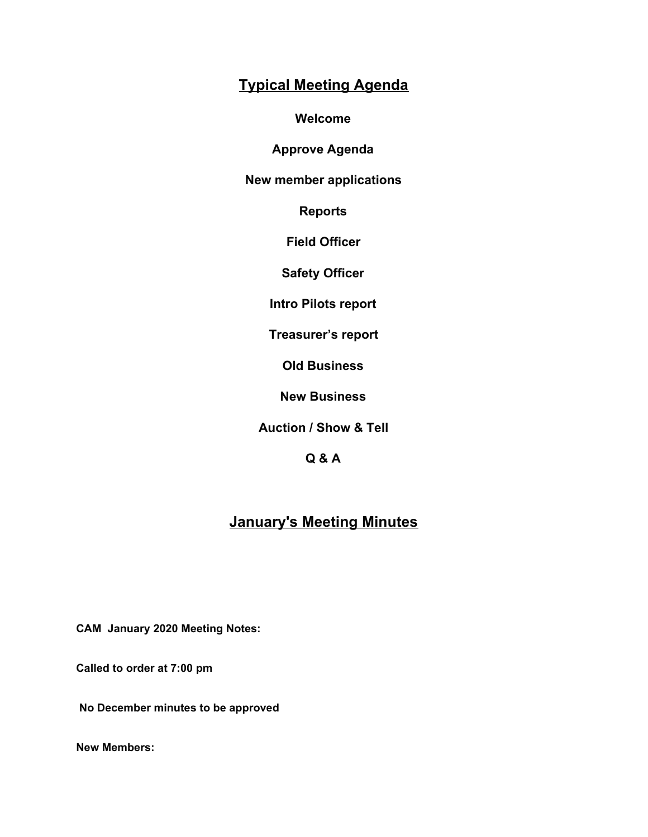## **Typical Meeting Agenda**

**Welcome**

**Approve Agenda**

**New member applications**

**Reports**

**Field Officer**

**Safety Officer**

**Intro Pilots report**

**Treasurer's report**

**Old Business**

**New Business**

**Auction / Show & Tell**

**Q & A**

# **January's Meeting Minutes**

**CAM January 2020 Meeting Notes:**

**Called to order at 7:00 pm**

 **No December minutes to be approved**

**New Members:**